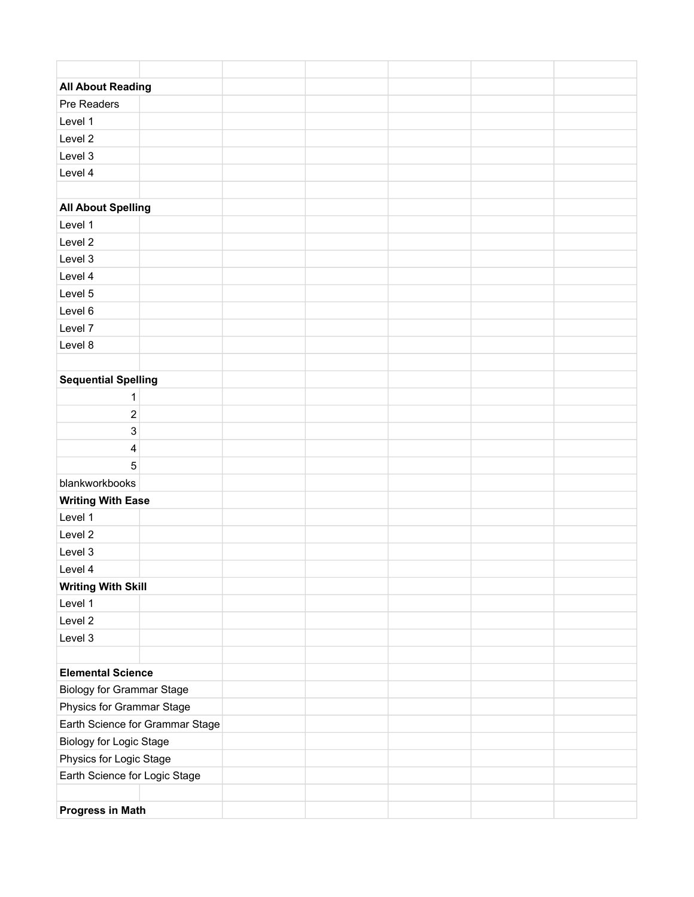| <b>All About Reading</b>         |  |  |  |
|----------------------------------|--|--|--|
| Pre Readers                      |  |  |  |
| Level 1                          |  |  |  |
| Level 2                          |  |  |  |
| Level 3                          |  |  |  |
| Level 4                          |  |  |  |
|                                  |  |  |  |
| <b>All About Spelling</b>        |  |  |  |
| Level 1                          |  |  |  |
| Level 2                          |  |  |  |
| Level 3                          |  |  |  |
| Level 4                          |  |  |  |
| Level 5                          |  |  |  |
| Level 6                          |  |  |  |
| Level 7                          |  |  |  |
| Level 8                          |  |  |  |
|                                  |  |  |  |
| <b>Sequential Spelling</b>       |  |  |  |
| $\mathbf{1}$                     |  |  |  |
| $\overline{\mathbf{c}}$          |  |  |  |
| 3                                |  |  |  |
| 4                                |  |  |  |
| 5                                |  |  |  |
| blankworkbooks                   |  |  |  |
| <b>Writing With Ease</b>         |  |  |  |
| Level 1                          |  |  |  |
| Level 2                          |  |  |  |
| Level 3                          |  |  |  |
| Level 4                          |  |  |  |
| <b>Writing With Skill</b>        |  |  |  |
| Level 1                          |  |  |  |
| Level 2                          |  |  |  |
| Level 3                          |  |  |  |
|                                  |  |  |  |
| <b>Elemental Science</b>         |  |  |  |
| <b>Biology for Grammar Stage</b> |  |  |  |
| Physics for Grammar Stage        |  |  |  |
| Earth Science for Grammar Stage  |  |  |  |
| Biology for Logic Stage          |  |  |  |
| Physics for Logic Stage          |  |  |  |
| Earth Science for Logic Stage    |  |  |  |
|                                  |  |  |  |
| <b>Progress in Math</b>          |  |  |  |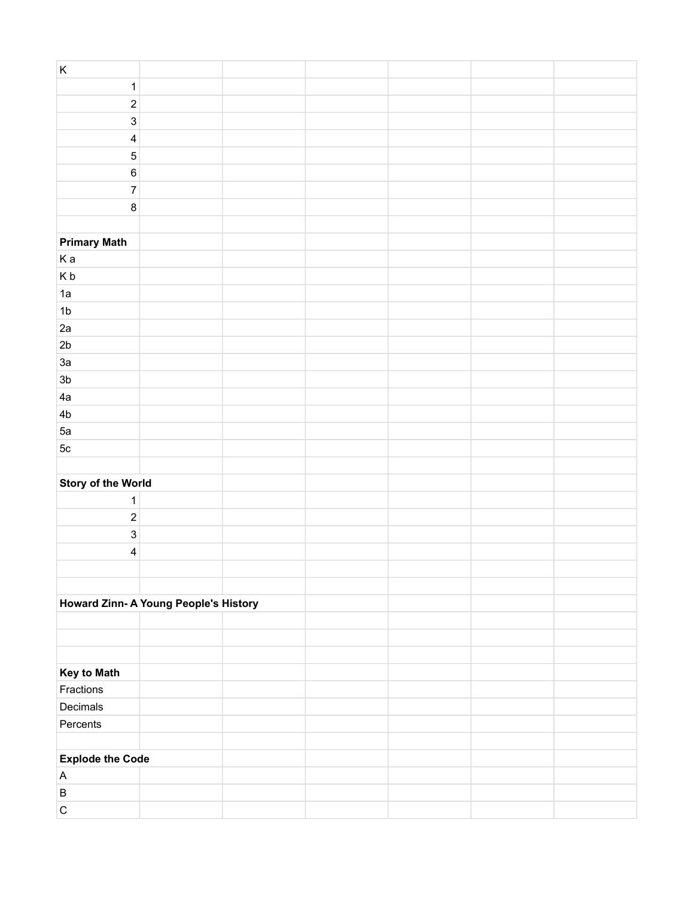| $\mathsf K$                           |  |  |  |
|---------------------------------------|--|--|--|
| $\mathbf 1$                           |  |  |  |
| $\mathbf 2$                           |  |  |  |
| $\mathbf{3}$                          |  |  |  |
| $\overline{\mathbf{4}}$               |  |  |  |
| $\overline{5}$                        |  |  |  |
| $\,6$                                 |  |  |  |
| $\overline{7}$                        |  |  |  |
| 8                                     |  |  |  |
|                                       |  |  |  |
| <b>Primary Math</b>                   |  |  |  |
| Ka                                    |  |  |  |
| Kb                                    |  |  |  |
| 1a                                    |  |  |  |
| 1 <sub>b</sub>                        |  |  |  |
| 2a                                    |  |  |  |
| 2 <sub>b</sub>                        |  |  |  |
| 3a                                    |  |  |  |
|                                       |  |  |  |
| 3 <sub>b</sub>                        |  |  |  |
| 4a                                    |  |  |  |
| 4 <sub>b</sub>                        |  |  |  |
| 5a                                    |  |  |  |
| $5\mathrm{c}$                         |  |  |  |
|                                       |  |  |  |
| <b>Story of the World</b>             |  |  |  |
| $\mathbf{1}$                          |  |  |  |
| $\mathbf 2$                           |  |  |  |
| $\mathsf 3$                           |  |  |  |
| $\overline{\mathbf{4}}$               |  |  |  |
|                                       |  |  |  |
|                                       |  |  |  |
| Howard Zinn- A Young People's History |  |  |  |
|                                       |  |  |  |
|                                       |  |  |  |
|                                       |  |  |  |
| <b>Key to Math</b>                    |  |  |  |
| Fractions                             |  |  |  |
| Decimals                              |  |  |  |
| Percents                              |  |  |  |
|                                       |  |  |  |
| <b>Explode the Code</b>               |  |  |  |
| $\boldsymbol{\mathsf{A}}$             |  |  |  |
| $\, {\sf B}$                          |  |  |  |
| $\mathsf C$                           |  |  |  |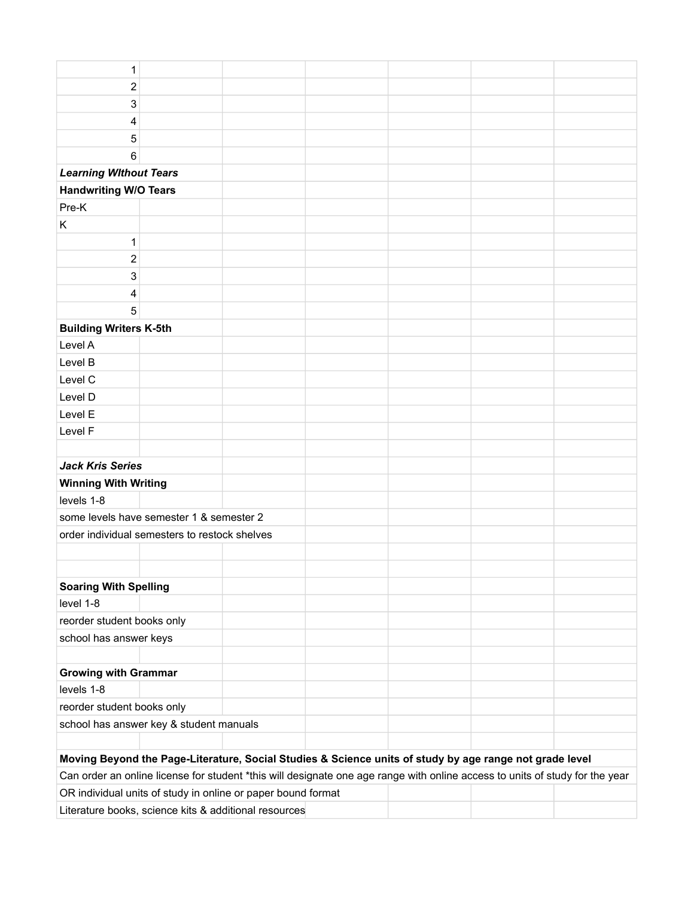| 1                                             |                                                                                                                              |  |                                                                                                         |  |  |  |  |
|-----------------------------------------------|------------------------------------------------------------------------------------------------------------------------------|--|---------------------------------------------------------------------------------------------------------|--|--|--|--|
| $\overline{c}$                                |                                                                                                                              |  |                                                                                                         |  |  |  |  |
| 3                                             |                                                                                                                              |  |                                                                                                         |  |  |  |  |
| 4                                             |                                                                                                                              |  |                                                                                                         |  |  |  |  |
| 5                                             |                                                                                                                              |  |                                                                                                         |  |  |  |  |
| 6                                             |                                                                                                                              |  |                                                                                                         |  |  |  |  |
| <b>Learning Without Tears</b>                 |                                                                                                                              |  |                                                                                                         |  |  |  |  |
| <b>Handwriting W/O Tears</b>                  |                                                                                                                              |  |                                                                                                         |  |  |  |  |
| Pre-K                                         |                                                                                                                              |  |                                                                                                         |  |  |  |  |
| K                                             |                                                                                                                              |  |                                                                                                         |  |  |  |  |
| 1                                             |                                                                                                                              |  |                                                                                                         |  |  |  |  |
| $\overline{\mathbf{c}}$                       |                                                                                                                              |  |                                                                                                         |  |  |  |  |
| 3                                             |                                                                                                                              |  |                                                                                                         |  |  |  |  |
| 4                                             |                                                                                                                              |  |                                                                                                         |  |  |  |  |
| 5                                             |                                                                                                                              |  |                                                                                                         |  |  |  |  |
| <b>Building Writers K-5th</b>                 |                                                                                                                              |  |                                                                                                         |  |  |  |  |
| Level A                                       |                                                                                                                              |  |                                                                                                         |  |  |  |  |
| Level B                                       |                                                                                                                              |  |                                                                                                         |  |  |  |  |
| Level C                                       |                                                                                                                              |  |                                                                                                         |  |  |  |  |
| Level D                                       |                                                                                                                              |  |                                                                                                         |  |  |  |  |
| Level E                                       |                                                                                                                              |  |                                                                                                         |  |  |  |  |
| Level F                                       |                                                                                                                              |  |                                                                                                         |  |  |  |  |
|                                               |                                                                                                                              |  |                                                                                                         |  |  |  |  |
| <b>Jack Kris Series</b>                       |                                                                                                                              |  |                                                                                                         |  |  |  |  |
| <b>Winning With Writing</b>                   |                                                                                                                              |  |                                                                                                         |  |  |  |  |
| levels 1-8                                    |                                                                                                                              |  |                                                                                                         |  |  |  |  |
| some levels have semester 1 & semester 2      |                                                                                                                              |  |                                                                                                         |  |  |  |  |
| order individual semesters to restock shelves |                                                                                                                              |  |                                                                                                         |  |  |  |  |
|                                               |                                                                                                                              |  |                                                                                                         |  |  |  |  |
|                                               |                                                                                                                              |  |                                                                                                         |  |  |  |  |
| <b>Soaring With Spelling</b>                  |                                                                                                                              |  |                                                                                                         |  |  |  |  |
| level 1-8                                     |                                                                                                                              |  |                                                                                                         |  |  |  |  |
| reorder student books only                    |                                                                                                                              |  |                                                                                                         |  |  |  |  |
| school has answer keys                        |                                                                                                                              |  |                                                                                                         |  |  |  |  |
| <b>Growing with Grammar</b>                   |                                                                                                                              |  |                                                                                                         |  |  |  |  |
| levels 1-8                                    |                                                                                                                              |  |                                                                                                         |  |  |  |  |
| reorder student books only                    |                                                                                                                              |  |                                                                                                         |  |  |  |  |
|                                               | school has answer key & student manuals                                                                                      |  |                                                                                                         |  |  |  |  |
|                                               |                                                                                                                              |  |                                                                                                         |  |  |  |  |
|                                               |                                                                                                                              |  | Moving Beyond the Page-Literature, Social Studies & Science units of study by age range not grade level |  |  |  |  |
|                                               | Can order an online license for student *this will designate one age range with online access to units of study for the year |  |                                                                                                         |  |  |  |  |

OR individual units of study in online or paper bound format

Literature books, science kits & additional resources